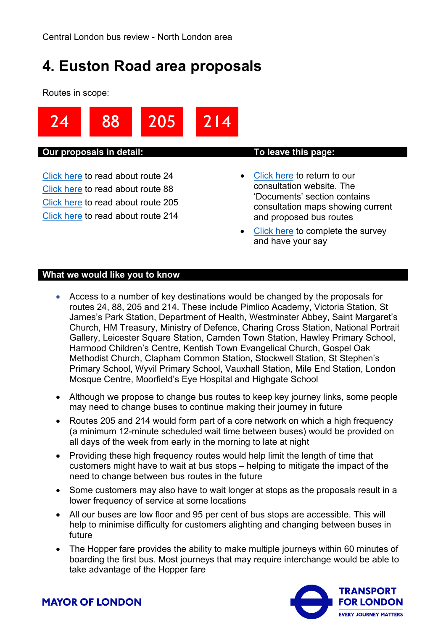# <span id="page-0-1"></span><span id="page-0-0"></span>**4. Euston Road area proposals**

Routes in scope:



#### **Our proposals in detail: To leave this page:**

[Click](#page-1-0) here to read about route 24 [Click](#page-2-0) here to read about route 88 [Click](#page-4-0) here to read about route 205 [Click](#page-9-0) here to read about route 214

- [Click](https://haveyoursay.tfl.gov.uk/busreview) here to return to our consultation website. The 'Documents' section contains consultation maps showing current and proposed bus routes
- [Click](https://haveyoursay.tfl.gov.uk/busreview/survey_tools/busreview-survey) here to complete the survey and have your say

#### **What we would like you to know**

- Access to a number of key destinations would be changed by the proposals for routes 24, 88, 205 and 214. These include Pimlico Academy, Victoria Station, St James's Park Station, Department of Health, Westminster Abbey, Saint Margaret's Church, HM Treasury, Ministry of Defence, Charing Cross Station, National Portrait Gallery, Leicester Square Station, Camden Town Station, Hawley Primary School, Harmood Children's Centre, Kentish Town Evangelical Church, Gospel Oak Methodist Church, Clapham Common Station, Stockwell Station, St Stephen's Primary School, Wyvil Primary School, Vauxhall Station, Mile End Station, London Mosque Centre, Moorfield's Eye Hospital and Highgate School
- Although we propose to change bus routes to keep key journey links, some people may need to change buses to continue making their journey in future
- Routes 205 and 214 would form part of a core network on which a high frequency (a minimum 12-minute scheduled wait time between buses) would be provided on all days of the week from early in the morning to late at night
- Providing these high frequency routes would help limit the length of time that customers might have to wait at bus stops – helping to mitigate the impact of the need to change between bus routes in the future
- Some customers may also have to wait longer at stops as the proposals result in a lower frequency of service at some locations
- All our buses are low floor and 95 per cent of bus stops are accessible. This will help to minimise difficulty for customers alighting and changing between buses in future
- The Hopper fare provides the ability to make multiple journeys within 60 minutes of boarding the first bus. Most journeys that may require interchange would be able to take advantage of the Hopper fare



**MAYOR OF LONDON**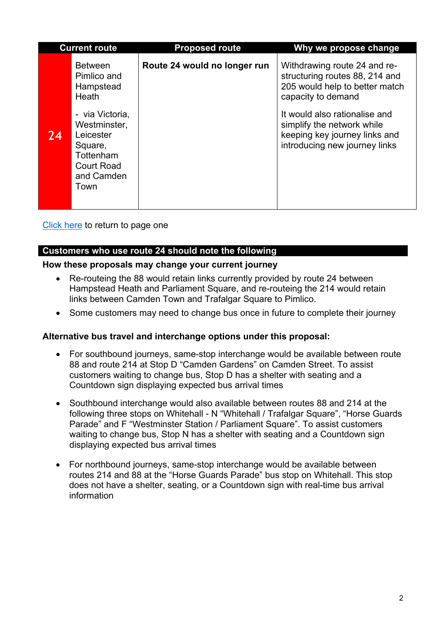<span id="page-1-0"></span>

|    | <b>Current route</b>                                                                                           | <b>Proposed route</b>        | Why we propose change                                                                                                                                                                                                                                   |
|----|----------------------------------------------------------------------------------------------------------------|------------------------------|---------------------------------------------------------------------------------------------------------------------------------------------------------------------------------------------------------------------------------------------------------|
| 24 | <b>Between</b><br>Pimlico and<br>Hampstead<br>Heath<br>- via Victoria,<br>Westminster,<br>Leicester<br>Square, | Route 24 would no longer run | Withdrawing route 24 and re-<br>structuring routes 88, 214 and<br>205 would help to better match<br>capacity to demand<br>It would also rationalise and<br>simplify the network while<br>keeping key journey links and<br>introducing new journey links |
|    | Tottenham<br><b>Court Road</b><br>and Camden<br>Town                                                           |                              |                                                                                                                                                                                                                                                         |

[Click here](#page-0-0) to return to page one

# **Customers who use route 24 should note the following**

#### **How these proposals may change your current journey**

- Re-routeing the 88 would retain links currently provided by route 24 between Hampstead Heath and Parliament Square, and re-routeing the 214 would retain links between Camden Town and Trafalgar Square to Pimlico.
- Some customers may need to change bus once in future to complete their journey

#### **Alternative bus travel and interchange options under this proposal:**

- For southbound journeys, same-stop interchange would be available between route 88 and route 214 at Stop D "Camden Gardens" on Camden Street. To assist customers waiting to change bus, Stop D has a shelter with seating and a Countdown sign displaying expected bus arrival times
- Southbound interchange would also available between routes 88 and 214 at the following three stops on Whitehall - N "Whitehall / Trafalgar Square", "Horse Guards Parade" and F "Westminster Station / Parliament Square". To assist customers waiting to change bus, Stop N has a shelter with seating and a Countdown sign displaying expected bus arrival times
- For northbound journeys, same-stop interchange would be available between routes 214 and 88 at the "Horse Guards Parade" bus stop on Whitehall. This stop does not have a shelter, seating, or a Countdown sign with real-time bus arrival information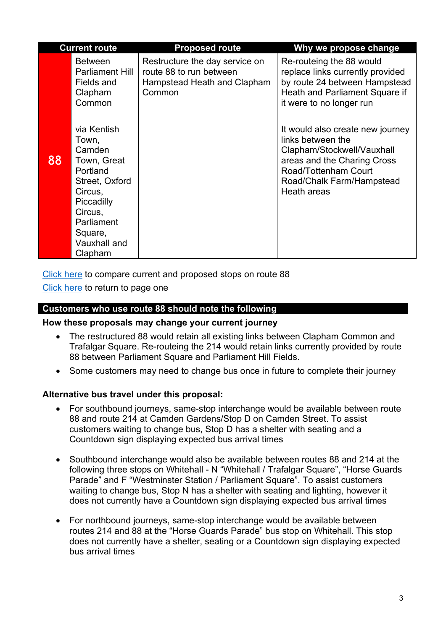<span id="page-2-0"></span>

| <b>Current route</b> |                                                                                                                                                                     | <b>Proposed route</b>                                                                              | Why we propose change                                                                                                                                                                  |
|----------------------|---------------------------------------------------------------------------------------------------------------------------------------------------------------------|----------------------------------------------------------------------------------------------------|----------------------------------------------------------------------------------------------------------------------------------------------------------------------------------------|
|                      | <b>Between</b><br><b>Parliament Hill</b><br>Fields and<br>Clapham<br>Common                                                                                         | Restructure the day service on<br>route 88 to run between<br>Hampstead Heath and Clapham<br>Common | Re-routeing the 88 would<br>replace links currently provided<br>by route 24 between Hampstead<br>Heath and Parliament Square if<br>it were to no longer run                            |
| 88                   | via Kentish<br>Town,<br>Camden<br>Town, Great<br>Portland<br>Street, Oxford<br>Circus,<br>Piccadilly<br>Circus,<br>Parliament<br>Square,<br>Vauxhall and<br>Clapham |                                                                                                    | It would also create new journey<br>links between the<br>Clapham/Stockwell/Vauxhall<br>areas and the Charing Cross<br>Road/Tottenham Court<br>Road/Chalk Farm/Hampstead<br>Heath areas |

[Click here](#page-3-0) to compare current and proposed stops on route 88 [Click here](#page-0-0) to return to page one

### **Customers who use route 88 should note the following**

#### **How these proposals may change your current journey**

- The restructured 88 would retain all existing links between Clapham Common and Trafalgar Square. Re-routeing the 214 would retain links currently provided by route 88 between Parliament Square and Parliament Hill Fields.
- Some customers may need to change bus once in future to complete their journey

#### **Alternative bus travel under this proposal:**

- For southbound journeys, same-stop interchange would be available between route 88 and route 214 at Camden Gardens/Stop D on Camden Street. To assist customers waiting to change bus, Stop D has a shelter with seating and a Countdown sign displaying expected bus arrival times
- Southbound interchange would also be available between routes 88 and 214 at the following three stops on Whitehall - N "Whitehall / Trafalgar Square", "Horse Guards Parade" and F "Westminster Station / Parliament Square". To assist customers waiting to change bus, Stop N has a shelter with seating and lighting, however it does not currently have a Countdown sign displaying expected bus arrival times
- For northbound journeys, same-stop interchange would be available between routes 214 and 88 at the "Horse Guards Parade" bus stop on Whitehall. This stop does not currently have a shelter, seating or a Countdown sign displaying expected bus arrival times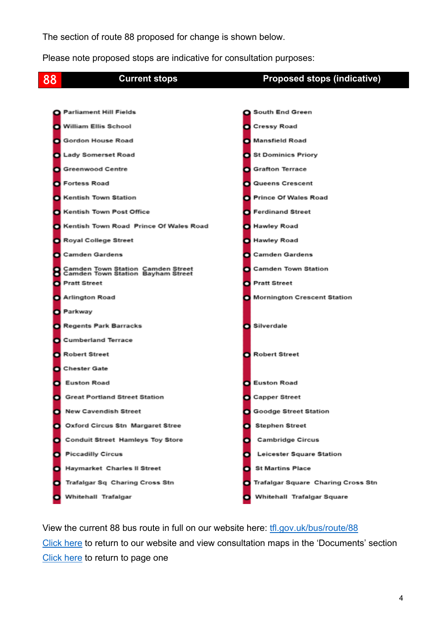The section of route 88 proposed for change is shown below.

Please note proposed stops are indicative for consultation purposes:

<span id="page-3-0"></span>

View the current 88 bus route in full on our website here: [tfl.gov.uk/bus/route/88](https://tfl.gov.uk/bus/route/88/) [Click](https://haveyoursay.tfl.gov.uk/busreview) here to return to our website and view consultation maps in the 'Documents' section [Click here](#page-0-1) to return to page one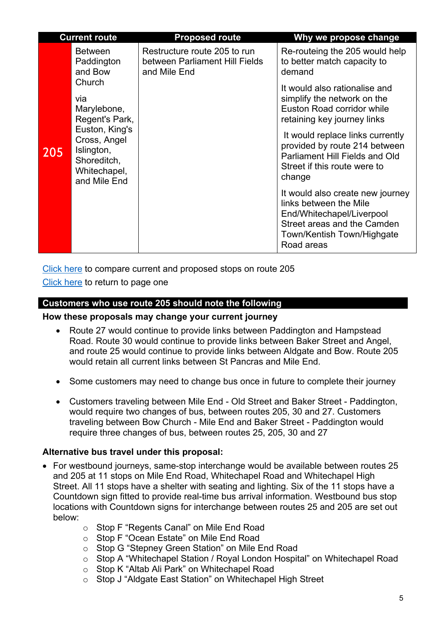<span id="page-4-0"></span>

| <b>Current route</b> |                                                                                                                                               | <b>Proposed route</b>                                                          | Why we propose change                                                                                                                                                                                                                                                                                                                                                                                                                                   |
|----------------------|-----------------------------------------------------------------------------------------------------------------------------------------------|--------------------------------------------------------------------------------|---------------------------------------------------------------------------------------------------------------------------------------------------------------------------------------------------------------------------------------------------------------------------------------------------------------------------------------------------------------------------------------------------------------------------------------------------------|
|                      | <b>Between</b><br>Paddington<br>and Bow                                                                                                       | Restructure route 205 to run<br>between Parliament Hill Fields<br>and Mile End | Re-routeing the 205 would help<br>to better match capacity to<br>demand                                                                                                                                                                                                                                                                                                                                                                                 |
| 205                  | Church<br>via<br>Marylebone,<br>Regent's Park,<br>Euston, King's<br>Cross, Angel<br>Islington,<br>Shoreditch,<br>Whitechapel,<br>and Mile End |                                                                                | It would also rationalise and<br>simplify the network on the<br>Euston Road corridor while<br>retaining key journey links<br>It would replace links currently<br>provided by route 214 between<br><b>Parliament Hill Fields and Old</b><br>Street if this route were to<br>change<br>It would also create new journey<br>links between the Mile<br>End/Whitechapel/Liverpool<br>Street areas and the Camden<br>Town/Kentish Town/Highgate<br>Road areas |

[Click here](#page-7-0) to compare current and proposed stops on route 205

[Click here](#page-0-0) to return to page one

# **Customers who use route 205 should note the following**

#### **How these proposals may change your current journey**

- Route 27 would continue to provide links between Paddington and Hampstead Road. Route 30 would continue to provide links between Baker Street and Angel, and route 25 would continue to provide links between Aldgate and Bow. Route 205 would retain all current links between St Pancras and Mile End.
- Some customers may need to change bus once in future to complete their journey
- Customers traveling between Mile End Old Street and Baker Street Paddington, would require two changes of bus, between routes 205, 30 and 27. Customers traveling between Bow Church - Mile End and Baker Street - Paddington would require three changes of bus, between routes 25, 205, 30 and 27

#### **Alternative bus travel under this proposal:**

- For westbound journeys, same-stop interchange would be available between routes 25 and 205 at 11 stops on Mile End Road, Whitechapel Road and Whitechapel High Street. All 11 stops have a shelter with seating and lighting. Six of the 11 stops have a Countdown sign fitted to provide real-time bus arrival information. Westbound bus stop locations with Countdown signs for interchange between routes 25 and 205 are set out below:
	- o Stop F "Regents Canal" on Mile End Road
	- o Stop F "Ocean Estate" on Mile End Road
	- o Stop G "Stepney Green Station" on Mile End Road
	- o Stop A "Whitechapel Station / Royal London Hospital" on Whitechapel Road
	- o Stop K "Altab Ali Park" on Whitechapel Road
	- o Stop J "Aldgate East Station" on Whitechapel High Street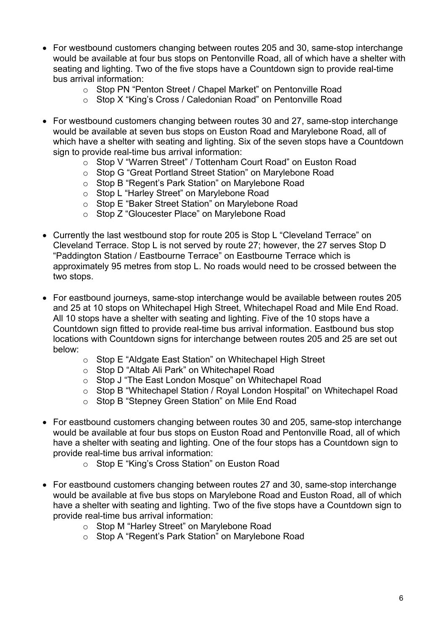- For westbound customers changing between routes 205 and 30, same-stop interchange would be available at four bus stops on Pentonville Road, all of which have a shelter with seating and lighting. Two of the five stops have a Countdown sign to provide real-time bus arrival information:
	- o Stop PN "Penton Street / Chapel Market" on Pentonville Road
	- o Stop X "King's Cross / Caledonian Road" on Pentonville Road
- For westbound customers changing between routes 30 and 27, same-stop interchange would be available at seven bus stops on Euston Road and Marylebone Road, all of which have a shelter with seating and lighting. Six of the seven stops have a Countdown sign to provide real-time bus arrival information:
	- o Stop V "Warren Street" / Tottenham Court Road" on Euston Road
	- o Stop G "Great Portland Street Station" on Marylebone Road
	- o Stop B "Regent's Park Station" on Marylebone Road
	- o Stop L "Harley Street" on Marylebone Road
	- o Stop E "Baker Street Station" on Marylebone Road
	- o Stop Z "Gloucester Place" on Marylebone Road
- Currently the last westbound stop for route 205 is Stop L "Cleveland Terrace" on Cleveland Terrace. Stop L is not served by route 27; however, the 27 serves Stop D "Paddington Station / Eastbourne Terrace" on Eastbourne Terrace which is approximately 95 metres from stop L. No roads would need to be crossed between the two stops.
- For eastbound journeys, same-stop interchange would be available between routes 205 and 25 at 10 stops on Whitechapel High Street, Whitechapel Road and Mile End Road. All 10 stops have a shelter with seating and lighting. Five of the 10 stops have a Countdown sign fitted to provide real-time bus arrival information. Eastbound bus stop locations with Countdown signs for interchange between routes 205 and 25 are set out below:
	- o Stop E "Aldgate East Station" on Whitechapel High Street
	- o Stop D "Altab Ali Park" on Whitechapel Road
	- o Stop J "The East London Mosque" on Whitechapel Road
	- o Stop B "Whitechapel Station / Royal London Hospital" on Whitechapel Road
	- o Stop B "Stepney Green Station" on Mile End Road
- For eastbound customers changing between routes 30 and 205, same-stop interchange would be available at four bus stops on Euston Road and Pentonville Road, all of which have a shelter with seating and lighting. One of the four stops has a Countdown sign to provide real-time bus arrival information:
	- o Stop E "King's Cross Station" on Euston Road
- For eastbound customers changing between routes 27 and 30, same-stop interchange would be available at five bus stops on Marylebone Road and Euston Road, all of which have a shelter with seating and lighting. Two of the five stops have a Countdown sign to provide real-time bus arrival information:
	- o Stop M "Harley Street" on Marylebone Road
	- o Stop A "Regent's Park Station" on Marylebone Road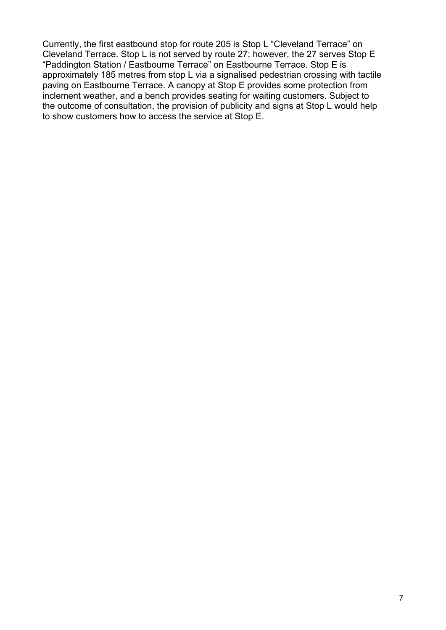Currently, the first eastbound stop for route 205 is Stop L "Cleveland Terrace" on Cleveland Terrace. Stop L is not served by route 27; however, the 27 serves Stop E "Paddington Station / Eastbourne Terrace" on Eastbourne Terrace. Stop E is approximately 185 metres from stop L via a signalised pedestrian crossing with tactile paving on Eastbourne Terrace. A canopy at Stop E provides some protection from inclement weather, and a bench provides seating for waiting customers. Subject to the outcome of consultation, the provision of publicity and signs at Stop L would help to show customers how to access the service at Stop E.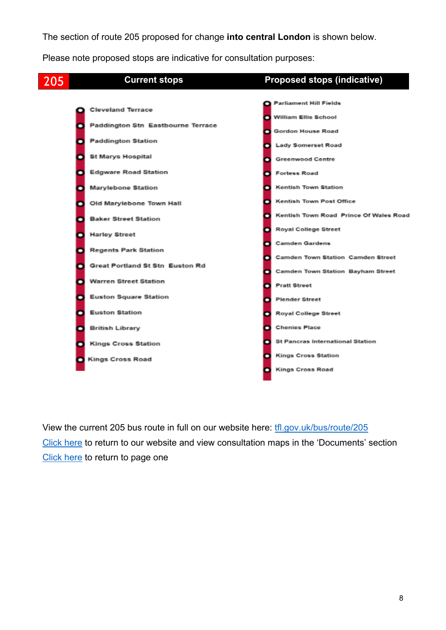The section of route 205 proposed for change **into central London** is shown below.

Please note proposed stops are indicative for consultation purposes:

<span id="page-7-0"></span>

View the current 205 bus route in full on our website here: [tfl.gov.uk/bus/route/205](https://tfl.gov.uk/bus/route/205/) [Click](https://haveyoursay.tfl.gov.uk/busreview) here to return to our website and view consultation maps in the 'Documents' section [Click here](#page-0-1) to return to page one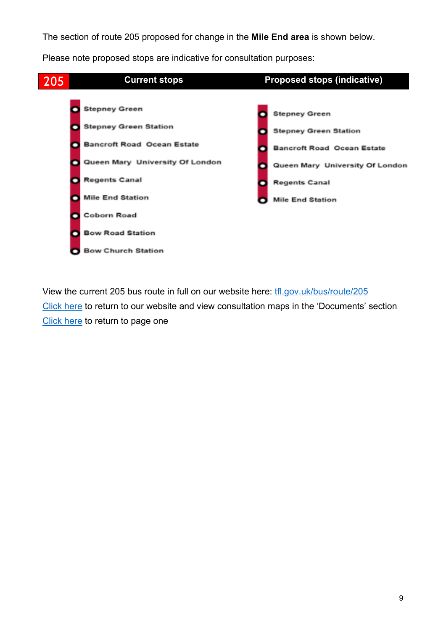The section of route 205 proposed for change in the **Mile End area** is shown below.

Please note proposed stops are indicative for consultation purposes:



View the current 205 bus route in full on our website here: [tfl.gov.uk/bus/route/205](https://tfl.gov.uk/bus/route/205/) [Click](https://haveyoursay.tfl.gov.uk/busreview) here to return to our website and view consultation maps in the 'Documents' section [Click here](#page-0-1) to return to page one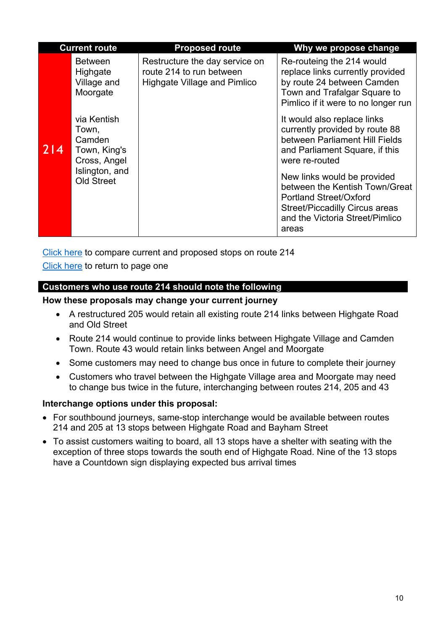<span id="page-9-0"></span>

| <b>Current route</b> |                                                                                                       | <b>Proposed route</b>                                                                      | Why we propose change                                                                                                                                                               |
|----------------------|-------------------------------------------------------------------------------------------------------|--------------------------------------------------------------------------------------------|-------------------------------------------------------------------------------------------------------------------------------------------------------------------------------------|
| 214                  | <b>Between</b><br>Highgate<br>Village and<br>Moorgate                                                 | Restructure the day service on<br>route 214 to run between<br>Highgate Village and Pimlico | Re-routeing the 214 would<br>replace links currently provided<br>by route 24 between Camden<br>Town and Trafalgar Square to<br>Pimlico if it were to no longer run                  |
|                      | via Kentish<br>Town,<br>Camden<br>Town, King's<br>Cross, Angel<br>Islington, and<br><b>Old Street</b> |                                                                                            | It would also replace links<br>currently provided by route 88<br>between Parliament Hill Fields<br>and Parliament Square, if this<br>were re-routed                                 |
|                      |                                                                                                       |                                                                                            | New links would be provided<br>between the Kentish Town/Great<br><b>Portland Street/Oxford</b><br><b>Street/Piccadilly Circus areas</b><br>and the Victoria Street/Pimlico<br>areas |

[Click here](#page-11-0) to compare current and proposed stops on route 214 [Click here](#page-0-0) to return to page one

# **Customers who use route 214 should note the following**

**How these proposals may change your current journey**

- A restructured 205 would retain all existing route 214 links between Highgate Road and Old Street
- Route 214 would continue to provide links between Highgate Village and Camden Town. Route 43 would retain links between Angel and Moorgate
- Some customers may need to change bus once in future to complete their journey
- Customers who travel between the Highgate Village area and Moorgate may need to change bus twice in the future, interchanging between routes 214, 205 and 43

# **Interchange options under this proposal:**

- For southbound journeys, same-stop interchange would be available between routes 214 and 205 at 13 stops between Highgate Road and Bayham Street
- To assist customers waiting to board, all 13 stops have a shelter with seating with the exception of three stops towards the south end of Highgate Road. Nine of the 13 stops have a Countdown sign displaying expected bus arrival times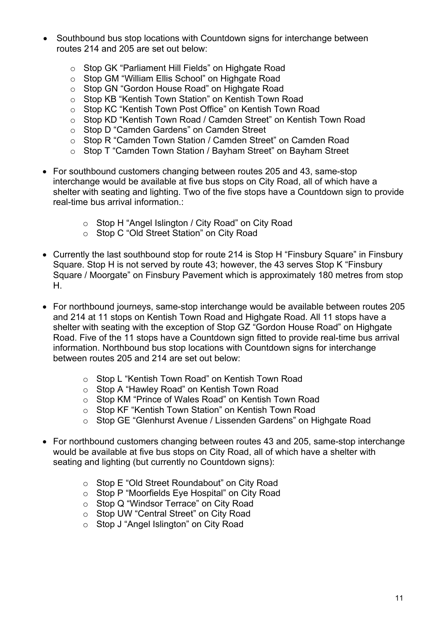- Southbound bus stop locations with Countdown signs for interchange between routes 214 and 205 are set out below:
	- o Stop GK "Parliament Hill Fields" on Highgate Road
	- o Stop GM "William Ellis School" on Highgate Road
	- o Stop GN "Gordon House Road" on Highgate Road
	- o Stop KB "Kentish Town Station" on Kentish Town Road
	- o Stop KC "Kentish Town Post Office" on Kentish Town Road
	- o Stop KD "Kentish Town Road / Camden Street" on Kentish Town Road
	- o Stop D "Camden Gardens" on Camden Street
	- o Stop R "Camden Town Station / Camden Street" on Camden Road
	- o Stop T "Camden Town Station / Bayham Street" on Bayham Street
- For southbound customers changing between routes 205 and 43, same-stop interchange would be available at five bus stops on City Road, all of which have a shelter with seating and lighting. Two of the five stops have a Countdown sign to provide real-time bus arrival information.:
	- o Stop H "Angel Islington / City Road" on City Road
	- o Stop C "Old Street Station" on City Road
- Currently the last southbound stop for route 214 is Stop H "Finsbury Square" in Finsbury Square. Stop H is not served by route 43; however, the 43 serves Stop K "Finsbury Square / Moorgate" on Finsbury Pavement which is approximately 180 metres from stop H.
- For northbound journeys, same-stop interchange would be available between routes 205 and 214 at 11 stops on Kentish Town Road and Highgate Road. All 11 stops have a shelter with seating with the exception of Stop GZ "Gordon House Road" on Highgate Road. Five of the 11 stops have a Countdown sign fitted to provide real-time bus arrival information. Northbound bus stop locations with Countdown signs for interchange between routes 205 and 214 are set out below:
	- o Stop L "Kentish Town Road" on Kentish Town Road
	- o Stop A "Hawley Road" on Kentish Town Road
	- o Stop KM "Prince of Wales Road" on Kentish Town Road
	- o Stop KF "Kentish Town Station" on Kentish Town Road
	- o Stop GE "Glenhurst Avenue / Lissenden Gardens" on Highgate Road
- For northbound customers changing between routes 43 and 205, same-stop interchange would be available at five bus stops on City Road, all of which have a shelter with seating and lighting (but currently no Countdown signs):
	- o Stop E "Old Street Roundabout" on City Road
	- o Stop P "Moorfields Eye Hospital" on City Road
	- o Stop Q "Windsor Terrace" on City Road
	- o Stop UW "Central Street" on City Road
	- o Stop J "Angel Islington" on City Road